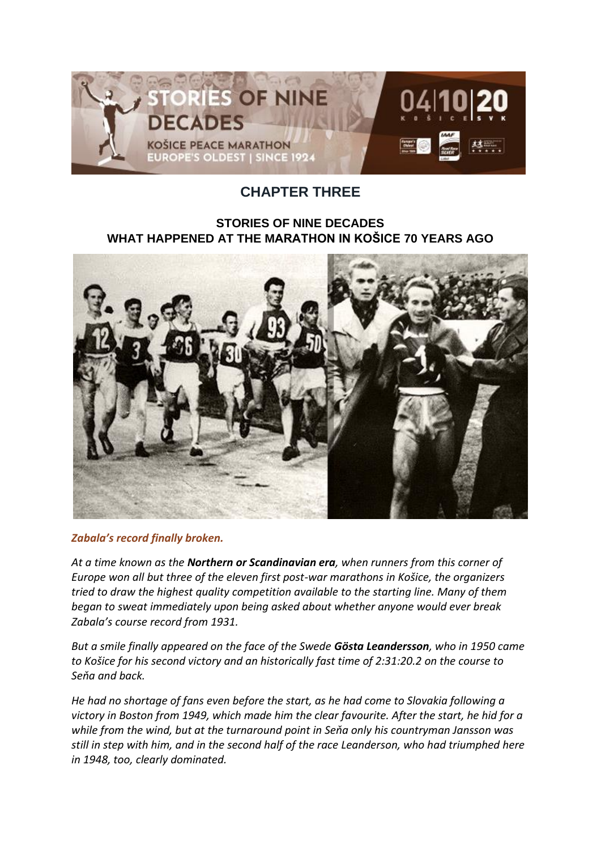

## **CHAPTER THREE**

## **STORIES OF NINE DECADES WHAT HAPPENED AT THE MARATHON IN KOŠICE 70 YEARS AGO**



*Zabala's record finally broken.*

*At a time known as the Northern or Scandinavian era, when runners from this corner of Europe won all but three of the eleven first post-war marathons in Košice, the organizers tried to draw the highest quality competition available to the starting line. Many of them began to sweat immediately upon being asked about whether anyone would ever break Zabala's course record from 1931.*

*But a smile finally appeared on the face of the Swede Gösta Leandersson, who in 1950 came to Košice for his second victory and an historically fast time of 2:31:20.2 on the course to Seňa and back.*

*He had no shortage of fans even before the start, as he had come to Slovakia following a victory in Boston from 1949, which made him the clear favourite. After the start, he hid for a while from the wind, but at the turnaround point in Seňa only his countryman Jansson was still in step with him, and in the second half of the race Leanderson, who had triumphed here in 1948, too, clearly dominated.*